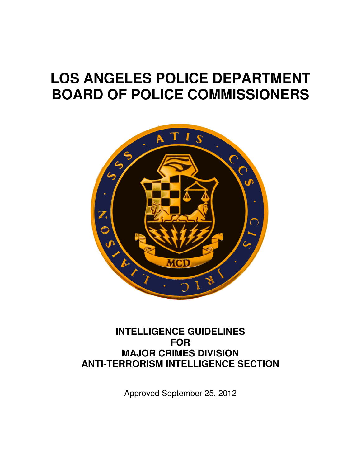# **LOS ANGELES POLICE DEPARTMENT BOARD OF POLICE COMMISSIONERS**



# **INTELLIGENCE GUIDELINES FOR MAJOR CRIMES DIVISION ANTI-TERRORISM INTELLIGENCE SECTION**

Approved September 25, 2012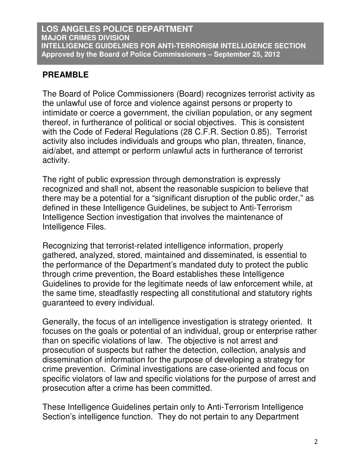# **PREAMBLE**

The Board of Police Commissioners (Board) recognizes terrorist activity as the unlawful use of force and violence against persons or property to intimidate or coerce a government, the civilian population, or any segment thereof, in furtherance of political or social objectives. This is consistent with the Code of Federal Regulations (28 C.F.R. Section 0.85). Terrorist activity also includes individuals and groups who plan, threaten, finance, aid/abet, and attempt or perform unlawful acts in furtherance of terrorist activity.

The right of public expression through demonstration is expressly recognized and shall not, absent the reasonable suspicion to believe that there may be a potential for a "significant disruption of the public order," as defined in these Intelligence Guidelines, be subject to Anti-Terrorism Intelligence Section investigation that involves the maintenance of Intelligence Files.

Recognizing that terrorist-related intelligence information, properly gathered, analyzed, stored, maintained and disseminated, is essential to the performance of the Department's mandated duty to protect the public through crime prevention, the Board establishes these Intelligence Guidelines to provide for the legitimate needs of law enforcement while, at the same time, steadfastly respecting all constitutional and statutory rights guaranteed to every individual.

Generally, the focus of an intelligence investigation is strategy oriented. It focuses on the goals or potential of an individual, group or enterprise rather than on specific violations of law. The objective is not arrest and prosecution of suspects but rather the detection, collection, analysis and dissemination of information for the purpose of developing a strategy for crime prevention. Criminal investigations are case-oriented and focus on specific violators of law and specific violations for the purpose of arrest and prosecution after a crime has been committed.

These Intelligence Guidelines pertain only to Anti-Terrorism Intelligence Section's intelligence function. They do not pertain to any Department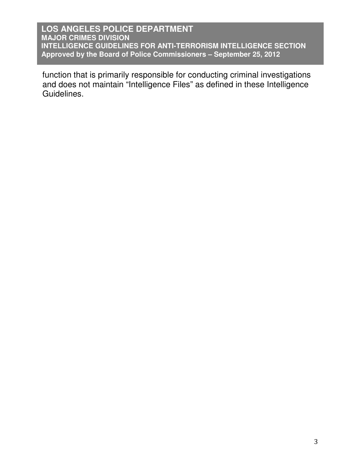function that is primarily responsible for conducting criminal investigations and does not maintain "Intelligence Files" as defined in these Intelligence Guidelines.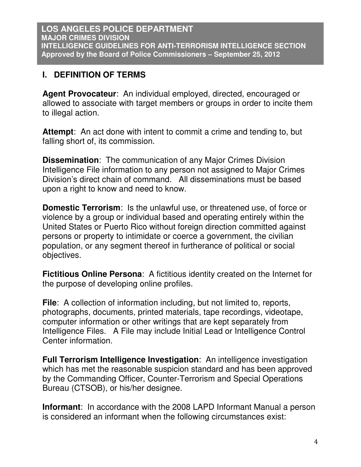# **I. DEFINITION OF TERMS**

**Agent Provocateur**: An individual employed, directed, encouraged or allowed to associate with target members or groups in order to incite them to illegal action.

**Attempt**: An act done with intent to commit a crime and tending to, but falling short of, its commission.

**Dissemination**: The communication of any Major Crimes Division Intelligence File information to any person not assigned to Major Crimes Division's direct chain of command. All disseminations must be based upon a right to know and need to know.

**Domestic Terrorism**: Is the unlawful use, or threatened use, of force or violence by a group or individual based and operating entirely within the United States or Puerto Rico without foreign direction committed against persons or property to intimidate or coerce a government, the civilian population, or any segment thereof in furtherance of political or social objectives.

**Fictitious Online Persona**: A fictitious identity created on the Internet for the purpose of developing online profiles.

**File**: A collection of information including, but not limited to, reports, photographs, documents, printed materials, tape recordings, videotape, computer information or other writings that are kept separately from Intelligence Files. A File may include Initial Lead or Intelligence Control Center information.

**Full Terrorism Intelligence Investigation**: An intelligence investigation which has met the reasonable suspicion standard and has been approved by the Commanding Officer, Counter-Terrorism and Special Operations Bureau (CTSOB), or his/her designee.

**Informant:** In accordance with the 2008 LAPD Informant Manual a person is considered an informant when the following circumstances exist: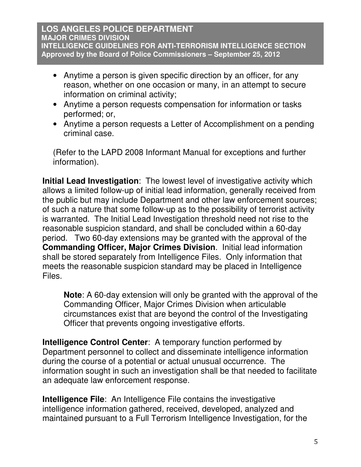- Anytime a person is given specific direction by an officer, for any reason, whether on one occasion or many, in an attempt to secure information on criminal activity;
- Anytime a person requests compensation for information or tasks performed; or,
- Anytime a person requests a Letter of Accomplishment on a pending criminal case.

(Refer to the LAPD 2008 Informant Manual for exceptions and further information).

**Initial Lead Investigation**: The lowest level of investigative activity which allows a limited follow-up of initial lead information, generally received from the public but may include Department and other law enforcement sources; of such a nature that some follow-up as to the possibility of terrorist activity is warranted. The Initial Lead Investigation threshold need not rise to the reasonable suspicion standard, and shall be concluded within a 60-day period. Two 60-day extensions may be granted with the approval of the **Commanding Officer, Major Crimes Division**. Initial lead information shall be stored separately from Intelligence Files. Only information that meets the reasonable suspicion standard may be placed in Intelligence Files.

**Note**: A 60-day extension will only be granted with the approval of the Commanding Officer, Major Crimes Division when articulable circumstances exist that are beyond the control of the Investigating Officer that prevents ongoing investigative efforts.

**Intelligence Control Center**: A temporary function performed by Department personnel to collect and disseminate intelligence information during the course of a potential or actual unusual occurrence. The information sought in such an investigation shall be that needed to facilitate an adequate law enforcement response.

**Intelligence File:** An Intelligence File contains the investigative intelligence information gathered, received, developed, analyzed and maintained pursuant to a Full Terrorism Intelligence Investigation, for the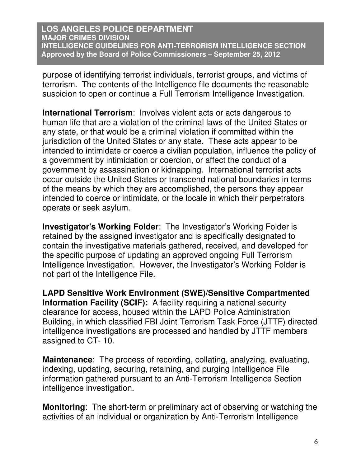purpose of identifying terrorist individuals, terrorist groups, and victims of terrorism. The contents of the Intelligence file documents the reasonable suspicion to open or continue a Full Terrorism Intelligence Investigation.

**International Terrorism**: Involves violent acts or acts dangerous to human life that are a violation of the criminal laws of the United States or any state, or that would be a criminal violation if committed within the jurisdiction of the United States or any state. These acts appear to be intended to intimidate or coerce a civilian population, influence the policy of a government by intimidation or coercion, or affect the conduct of a government by assassination or kidnapping. International terrorist acts occur outside the United States or transcend national boundaries in terms of the means by which they are accomplished, the persons they appear intended to coerce or intimidate, or the locale in which their perpetrators operate or seek asylum.

**Investigator's Working Folder**: The Investigator's Working Folder is retained by the assigned investigator and is specifically designated to contain the investigative materials gathered, received, and developed for the specific purpose of updating an approved ongoing Full Terrorism Intelligence Investigation. However, the Investigator's Working Folder is not part of the Intelligence File.

**LAPD Sensitive Work Environment (SWE)/Sensitive Compartmented Information Facility (SCIF):** A facility requiring a national security clearance for access, housed within the LAPD Police Administration Building, in which classified FBI Joint Terrorism Task Force (JTTF) directed intelligence investigations are processed and handled by JTTF members assigned to CT- 10.

**Maintenance**: The process of recording, collating, analyzing, evaluating, indexing, updating, securing, retaining, and purging Intelligence File information gathered pursuant to an Anti-Terrorism Intelligence Section intelligence investigation.

**Monitoring**: The short-term or preliminary act of observing or watching the activities of an individual or organization by Anti-Terrorism Intelligence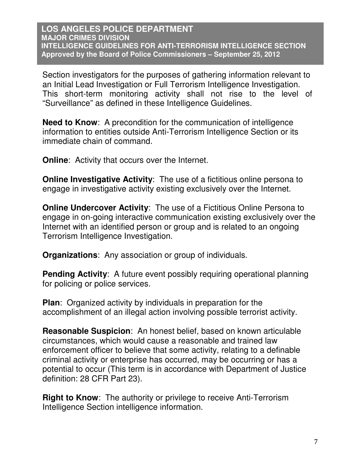Section investigators for the purposes of gathering information relevant to an Initial Lead Investigation or Full Terrorism Intelligence Investigation. This short-term monitoring activity shall not rise to the level of "Surveillance" as defined in these Intelligence Guidelines.

**Need to Know**: A precondition for the communication of intelligence information to entities outside Anti-Terrorism Intelligence Section or its immediate chain of command.

**Online:** Activity that occurs over the Internet.

**Online Investigative Activity:** The use of a fictitious online persona to engage in investigative activity existing exclusively over the Internet.

**Online Undercover Activity:** The use of a Fictitious Online Persona to engage in on-going interactive communication existing exclusively over the Internet with an identified person or group and is related to an ongoing Terrorism Intelligence Investigation.

**Organizations**: Any association or group of individuals.

**Pending Activity:** A future event possibly requiring operational planning for policing or police services.

**Plan**: Organized activity by individuals in preparation for the accomplishment of an illegal action involving possible terrorist activity.

**Reasonable Suspicion**: An honest belief, based on known articulable circumstances, which would cause a reasonable and trained law enforcement officer to believe that some activity, relating to a definable criminal activity or enterprise has occurred, may be occurring or has a potential to occur (This term is in accordance with Department of Justice definition: 28 CFR Part 23).

**Right to Know**: The authority or privilege to receive Anti-Terrorism Intelligence Section intelligence information.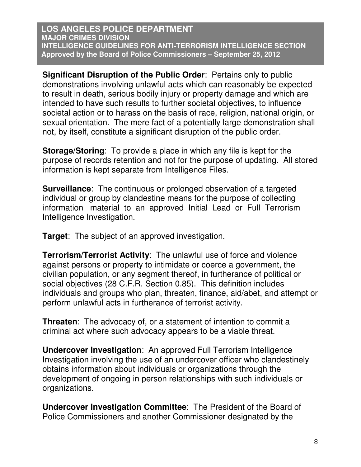**Significant Disruption of the Public Order**: Pertains only to public demonstrations involving unlawful acts which can reasonably be expected to result in death, serious bodily injury or property damage and which are intended to have such results to further societal objectives, to influence societal action or to harass on the basis of race, religion, national origin, or sexual orientation. The mere fact of a potentially large demonstration shall not, by itself, constitute a significant disruption of the public order.

**Storage/Storing**: To provide a place in which any file is kept for the purpose of records retention and not for the purpose of updating. All stored information is kept separate from Intelligence Files.

**Surveillance:** The continuous or prolonged observation of a targeted individual or group by clandestine means for the purpose of collecting information material to an approved Initial Lead or Full Terrorism Intelligence Investigation.

**Target**: The subject of an approved investigation.

**Terrorism/Terrorist Activity**: The unlawful use of force and violence against persons or property to intimidate or coerce a government, the civilian population, or any segment thereof, in furtherance of political or social objectives (28 C.F.R. Section 0.85). This definition includes individuals and groups who plan, threaten, finance, aid/abet, and attempt or perform unlawful acts in furtherance of terrorist activity.

**Threaten**: The advocacy of, or a statement of intention to commit a criminal act where such advocacy appears to be a viable threat.

**Undercover Investigation**: An approved Full Terrorism Intelligence Investigation involving the use of an undercover officer who clandestinely obtains information about individuals or organizations through the development of ongoing in person relationships with such individuals or organizations.

**Undercover Investigation Committee**: The President of the Board of Police Commissioners and another Commissioner designated by the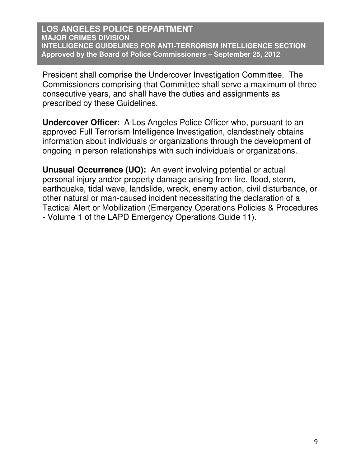President shall comprise the Undercover Investigation Committee. The Commissioners comprising that Committee shall serve a maximum of three consecutive years, and shall have the duties and assignments as prescribed by these Guidelines.

**Undercover Officer**: A Los Angeles Police Officer who, pursuant to an approved Full Terrorism Intelligence Investigation, clandestinely obtains information about individuals or organizations through the development of ongoing in person relationships with such individuals or organizations.

**Unusual Occurrence (UO):** An event involving potential or actual personal injury and/or property damage arising from fire, flood, storm, earthquake, tidal wave, landslide, wreck, enemy action, civil disturbance, or other natural or man-caused incident necessitating the declaration of a Tactical Alert or Mobilization (Emergency Operations Policies & Procedures - Volume 1 of the LAPD Emergency Operations Guide 11).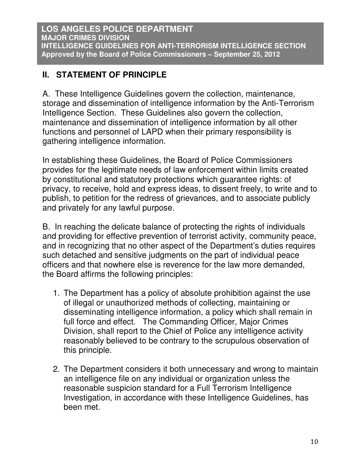# **II. STATEMENT OF PRINCIPLE**

A. These Intelligence Guidelines govern the collection, maintenance, storage and dissemination of intelligence information by the Anti-Terrorism Intelligence Section. These Guidelines also govern the collection, maintenance and dissemination of intelligence information by all other functions and personnel of LAPD when their primary responsibility is gathering intelligence information.

In establishing these Guidelines, the Board of Police Commissioners provides for the legitimate needs of law enforcement within limits created by constitutional and statutory protections which guarantee rights: of privacy, to receive, hold and express ideas, to dissent freely, to write and to publish, to petition for the redress of grievances, and to associate publicly and privately for any lawful purpose.

B. In reaching the delicate balance of protecting the rights of individuals and providing for effective prevention of terrorist activity, community peace, and in recognizing that no other aspect of the Department's duties requires such detached and sensitive judgments on the part of individual peace officers and that nowhere else is reverence for the law more demanded, the Board affirms the following principles:

- 1. The Department has a policy of absolute prohibition against the use of illegal or unauthorized methods of collecting, maintaining or disseminating intelligence information, a policy which shall remain in full force and effect. The Commanding Officer, Major Crimes Division, shall report to the Chief of Police any intelligence activity reasonably believed to be contrary to the scrupulous observation of this principle.
- 2. The Department considers it both unnecessary and wrong to maintain an intelligence file on any individual or organization unless the reasonable suspicion standard for a Full Terrorism Intelligence Investigation, in accordance with these Intelligence Guidelines, has been met.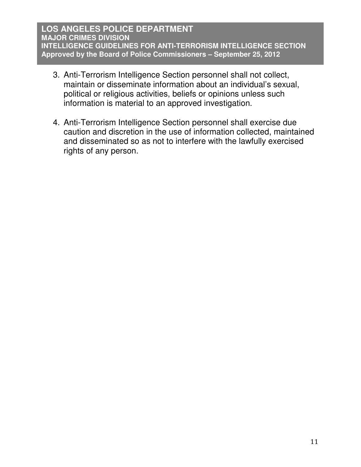- 3. Anti-Terrorism Intelligence Section personnel shall not collect, maintain or disseminate information about an individual's sexual, political or religious activities, beliefs or opinions unless such information is material to an approved investigation.
- 4. Anti-Terrorism Intelligence Section personnel shall exercise due caution and discretion in the use of information collected, maintained and disseminated so as not to interfere with the lawfully exercised rights of any person.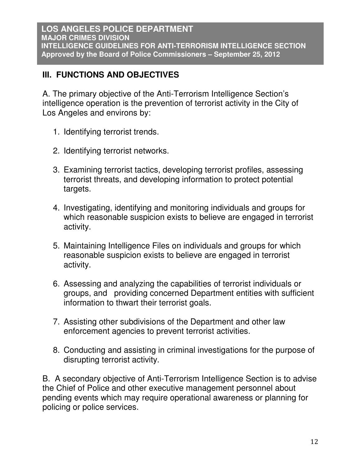# **III. FUNCTIONS AND OBJECTIVES**

A. The primary objective of the Anti-Terrorism Intelligence Section's intelligence operation is the prevention of terrorist activity in the City of Los Angeles and environs by:

- 1. Identifying terrorist trends.
- 2. Identifying terrorist networks.
- 3. Examining terrorist tactics, developing terrorist profiles, assessing terrorist threats, and developing information to protect potential targets.
- 4. Investigating, identifying and monitoring individuals and groups for which reasonable suspicion exists to believe are engaged in terrorist activity.
- 5. Maintaining Intelligence Files on individuals and groups for which reasonable suspicion exists to believe are engaged in terrorist activity.
- 6. Assessing and analyzing the capabilities of terrorist individuals or groups, and providing concerned Department entities with sufficient information to thwart their terrorist goals.
- 7. Assisting other subdivisions of the Department and other law enforcement agencies to prevent terrorist activities.
- 8. Conducting and assisting in criminal investigations for the purpose of disrupting terrorist activity.

B. A secondary objective of Anti-Terrorism Intelligence Section is to advise the Chief of Police and other executive management personnel about pending events which may require operational awareness or planning for policing or police services.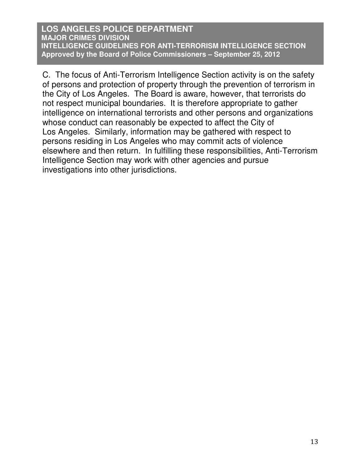C. The focus of Anti-Terrorism Intelligence Section activity is on the safety of persons and protection of property through the prevention of terrorism in the City of Los Angeles. The Board is aware, however, that terrorists do not respect municipal boundaries. It is therefore appropriate to gather intelligence on international terrorists and other persons and organizations whose conduct can reasonably be expected to affect the City of Los Angeles. Similarly, information may be gathered with respect to persons residing in Los Angeles who may commit acts of violence elsewhere and then return. In fulfilling these responsibilities, Anti-Terrorism Intelligence Section may work with other agencies and pursue investigations into other jurisdictions.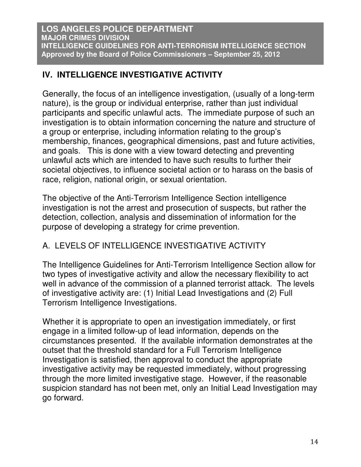# **IV. INTELLIGENCE INVESTIGATIVE ACTIVITY**

Generally, the focus of an intelligence investigation, (usually of a long-term nature), is the group or individual enterprise, rather than just individual participants and specific unlawful acts. The immediate purpose of such an investigation is to obtain information concerning the nature and structure of a group or enterprise, including information relating to the group's membership, finances, geographical dimensions, past and future activities, and goals. This is done with a view toward detecting and preventing unlawful acts which are intended to have such results to further their societal objectives, to influence societal action or to harass on the basis of race, religion, national origin, or sexual orientation.

The objective of the Anti-Terrorism Intelligence Section intelligence investigation is not the arrest and prosecution of suspects, but rather the detection, collection, analysis and dissemination of information for the purpose of developing a strategy for crime prevention.

# A. LEVELS OF INTELLIGENCE INVESTIGATIVE ACTIVITY

The Intelligence Guidelines for Anti-Terrorism Intelligence Section allow for two types of investigative activity and allow the necessary flexibility to act well in advance of the commission of a planned terrorist attack. The levels of investigative activity are: (1) Initial Lead Investigations and (2) Full Terrorism Intelligence Investigations.

Whether it is appropriate to open an investigation immediately, or first engage in a limited follow-up of lead information, depends on the circumstances presented. If the available information demonstrates at the outset that the threshold standard for a Full Terrorism Intelligence Investigation is satisfied, then approval to conduct the appropriate investigative activity may be requested immediately, without progressing through the more limited investigative stage. However, if the reasonable suspicion standard has not been met, only an Initial Lead Investigation may go forward.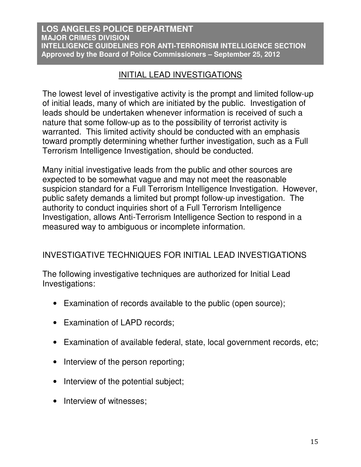# INITIAL LEAD INVESTIGATIONS

The lowest level of investigative activity is the prompt and limited follow-up of initial leads, many of which are initiated by the public. Investigation of leads should be undertaken whenever information is received of such a nature that some follow-up as to the possibility of terrorist activity is warranted. This limited activity should be conducted with an emphasis toward promptly determining whether further investigation, such as a Full Terrorism Intelligence Investigation, should be conducted.

Many initial investigative leads from the public and other sources are expected to be somewhat vague and may not meet the reasonable suspicion standard for a Full Terrorism Intelligence Investigation. However, public safety demands a limited but prompt follow-up investigation. The authority to conduct inquiries short of a Full Terrorism Intelligence Investigation, allows Anti-Terrorism Intelligence Section to respond in a measured way to ambiguous or incomplete information.

# INVESTIGATIVE TECHNIQUES FOR INITIAL LEAD INVESTIGATIONS

The following investigative techniques are authorized for Initial Lead Investigations:

- Examination of records available to the public (open source);
- Examination of LAPD records;
- Examination of available federal, state, local government records, etc;
- Interview of the person reporting;
- Interview of the potential subject;
- Interview of witnesses;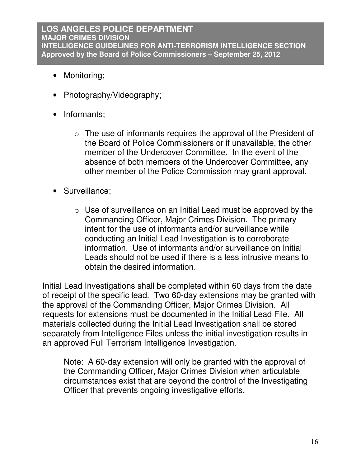- Monitoring;
- Photography/Videography;
- Informants:
	- o The use of informants requires the approval of the President of the Board of Police Commissioners or if unavailable, the other member of the Undercover Committee. In the event of the absence of both members of the Undercover Committee, any other member of the Police Commission may grant approval.
- Surveillance;
	- o Use of surveillance on an Initial Lead must be approved by the Commanding Officer, Major Crimes Division. The primary intent for the use of informants and/or surveillance while conducting an Initial Lead Investigation is to corroborate information. Use of informants and/or surveillance on Initial Leads should not be used if there is a less intrusive means to obtain the desired information.

Initial Lead Investigations shall be completed within 60 days from the date of receipt of the specific lead. Two 60-day extensions may be granted with the approval of the Commanding Officer, Major Crimes Division. All requests for extensions must be documented in the Initial Lead File. All materials collected during the Initial Lead Investigation shall be stored separately from Intelligence Files unless the initial investigation results in an approved Full Terrorism Intelligence Investigation.

Note: A 60-day extension will only be granted with the approval of the Commanding Officer, Major Crimes Division when articulable circumstances exist that are beyond the control of the Investigating Officer that prevents ongoing investigative efforts.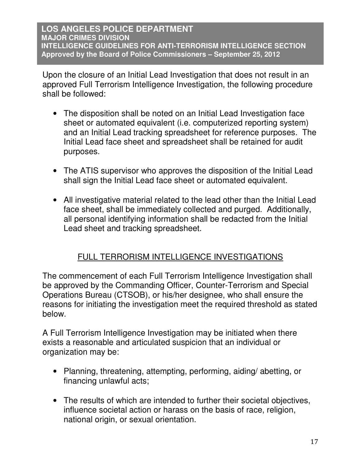Upon the closure of an Initial Lead Investigation that does not result in an approved Full Terrorism Intelligence Investigation, the following procedure shall be followed:

- The disposition shall be noted on an Initial Lead Investigation face sheet or automated equivalent (i.e. computerized reporting system) and an Initial Lead tracking spreadsheet for reference purposes. The Initial Lead face sheet and spreadsheet shall be retained for audit purposes.
- The ATIS supervisor who approves the disposition of the Initial Lead shall sign the Initial Lead face sheet or automated equivalent.
- All investigative material related to the lead other than the Initial Lead face sheet, shall be immediately collected and purged. Additionally, all personal identifying information shall be redacted from the Initial Lead sheet and tracking spreadsheet.

# FULL TERRORISM INTELLIGENCE INVESTIGATIONS

The commencement of each Full Terrorism Intelligence Investigation shall be approved by the Commanding Officer, Counter-Terrorism and Special Operations Bureau (CTSOB), or his/her designee, who shall ensure the reasons for initiating the investigation meet the required threshold as stated below.

A Full Terrorism Intelligence Investigation may be initiated when there exists a reasonable and articulated suspicion that an individual or organization may be:

- Planning, threatening, attempting, performing, aiding/ abetting, or financing unlawful acts;
- The results of which are intended to further their societal objectives, influence societal action or harass on the basis of race, religion, national origin, or sexual orientation.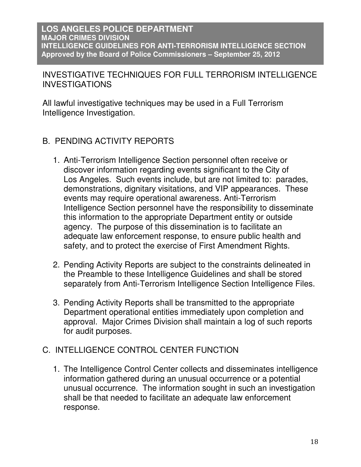INVESTIGATIVE TECHNIQUES FOR FULL TERRORISM INTELLIGENCE INVESTIGATIONS

All lawful investigative techniques may be used in a Full Terrorism Intelligence Investigation.

- B. PENDING ACTIVITY REPORTS
	- 1. Anti-Terrorism Intelligence Section personnel often receive or discover information regarding events significant to the City of Los Angeles. Such events include, but are not limited to: parades, demonstrations, dignitary visitations, and VIP appearances. These events may require operational awareness. Anti-Terrorism Intelligence Section personnel have the responsibility to disseminate this information to the appropriate Department entity or outside agency. The purpose of this dissemination is to facilitate an adequate law enforcement response, to ensure public health and safety, and to protect the exercise of First Amendment Rights.
	- 2. Pending Activity Reports are subject to the constraints delineated in the Preamble to these Intelligence Guidelines and shall be stored separately from Anti-Terrorism Intelligence Section Intelligence Files.
	- 3. Pending Activity Reports shall be transmitted to the appropriate Department operational entities immediately upon completion and approval. Major Crimes Division shall maintain a log of such reports for audit purposes.

# C. INTELLIGENCE CONTROL CENTER FUNCTION

1. The Intelligence Control Center collects and disseminates intelligence information gathered during an unusual occurrence or a potential unusual occurrence. The information sought in such an investigation shall be that needed to facilitate an adequate law enforcement response.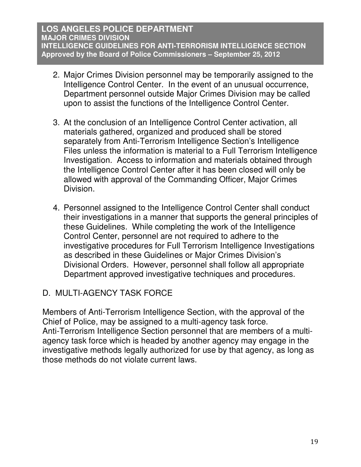- 2. Major Crimes Division personnel may be temporarily assigned to the Intelligence Control Center. In the event of an unusual occurrence, Department personnel outside Major Crimes Division may be called upon to assist the functions of the Intelligence Control Center.
- 3. At the conclusion of an Intelligence Control Center activation, all materials gathered, organized and produced shall be stored separately from Anti-Terrorism Intelligence Section's Intelligence Files unless the information is material to a Full Terrorism Intelligence Investigation. Access to information and materials obtained through the Intelligence Control Center after it has been closed will only be allowed with approval of the Commanding Officer, Major Crimes Division.
- 4. Personnel assigned to the Intelligence Control Center shall conduct their investigations in a manner that supports the general principles of these Guidelines. While completing the work of the Intelligence Control Center, personnel are not required to adhere to the investigative procedures for Full Terrorism Intelligence Investigations as described in these Guidelines or Major Crimes Division's Divisional Orders. However, personnel shall follow all appropriate Department approved investigative techniques and procedures.

# D. MULTI-AGENCY TASK FORCE

Members of Anti-Terrorism Intelligence Section, with the approval of the Chief of Police, may be assigned to a multi-agency task force. Anti-Terrorism Intelligence Section personnel that are members of a multiagency task force which is headed by another agency may engage in the investigative methods legally authorized for use by that agency, as long as those methods do not violate current laws.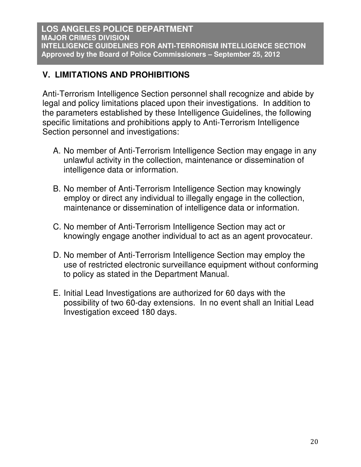# **V. LIMITATIONS AND PROHIBITIONS**

Anti-Terrorism Intelligence Section personnel shall recognize and abide by legal and policy limitations placed upon their investigations. In addition to the parameters established by these Intelligence Guidelines, the following specific limitations and prohibitions apply to Anti-Terrorism Intelligence Section personnel and investigations:

- A. No member of Anti-Terrorism Intelligence Section may engage in any unlawful activity in the collection, maintenance or dissemination of intelligence data or information.
- B. No member of Anti-Terrorism Intelligence Section may knowingly employ or direct any individual to illegally engage in the collection, maintenance or dissemination of intelligence data or information.
- C. No member of Anti-Terrorism Intelligence Section may act or knowingly engage another individual to act as an agent provocateur.
- D. No member of Anti-Terrorism Intelligence Section may employ the use of restricted electronic surveillance equipment without conforming to policy as stated in the Department Manual.
- E. Initial Lead Investigations are authorized for 60 days with the possibility of two 60-day extensions. In no event shall an Initial Lead Investigation exceed 180 days.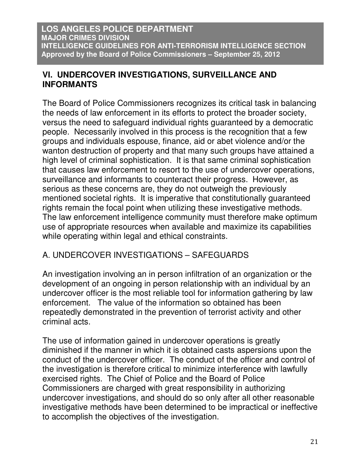# **VI. UNDERCOVER INVESTIGATIONS, SURVEILLANCE AND INFORMANTS**

The Board of Police Commissioners recognizes its critical task in balancing the needs of law enforcement in its efforts to protect the broader society, versus the need to safeguard individual rights guaranteed by a democratic people. Necessarily involved in this process is the recognition that a few groups and individuals espouse, finance, aid or abet violence and/or the wanton destruction of property and that many such groups have attained a high level of criminal sophistication. It is that same criminal sophistication that causes law enforcement to resort to the use of undercover operations, surveillance and informants to counteract their progress. However, as serious as these concerns are, they do not outweigh the previously mentioned societal rights. It is imperative that constitutionally guaranteed rights remain the focal point when utilizing these investigative methods. The law enforcement intelligence community must therefore make optimum use of appropriate resources when available and maximize its capabilities while operating within legal and ethical constraints.

# A. UNDERCOVER INVESTIGATIONS – SAFEGUARDS

An investigation involving an in person infiltration of an organization or the development of an ongoing in person relationship with an individual by an undercover officer is the most reliable tool for information gathering by law enforcement. The value of the information so obtained has been repeatedly demonstrated in the prevention of terrorist activity and other criminal acts.

The use of information gained in undercover operations is greatly diminished if the manner in which it is obtained casts aspersions upon the conduct of the undercover officer. The conduct of the officer and control of the investigation is therefore critical to minimize interference with lawfully exercised rights. The Chief of Police and the Board of Police Commissioners are charged with great responsibility in authorizing undercover investigations, and should do so only after all other reasonable investigative methods have been determined to be impractical or ineffective to accomplish the objectives of the investigation.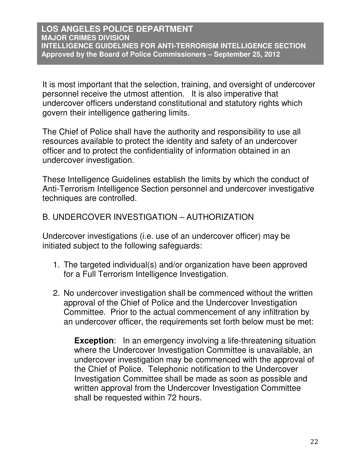It is most important that the selection, training, and oversight of undercover personnel receive the utmost attention. It is also imperative that undercover officers understand constitutional and statutory rights which govern their intelligence gathering limits.

The Chief of Police shall have the authority and responsibility to use all resources available to protect the identity and safety of an undercover officer and to protect the confidentiality of information obtained in an undercover investigation.

These Intelligence Guidelines establish the limits by which the conduct of Anti-Terrorism Intelligence Section personnel and undercover investigative techniques are controlled.

# B. UNDERCOVER INVESTIGATION – AUTHORIZATION

Undercover investigations (i.e. use of an undercover officer) may be initiated subject to the following safeguards:

- 1. The targeted individual(s) and/or organization have been approved for a Full Terrorism Intelligence Investigation.
- 2. No undercover investigation shall be commenced without the written approval of the Chief of Police and the Undercover Investigation Committee. Prior to the actual commencement of any infiltration by an undercover officer, the requirements set forth below must be met:

**Exception:** In an emergency involving a life-threatening situation where the Undercover Investigation Committee is unavailable, an undercover investigation may be commenced with the approval of the Chief of Police. Telephonic notification to the Undercover Investigation Committee shall be made as soon as possible and written approval from the Undercover Investigation Committee shall be requested within 72 hours.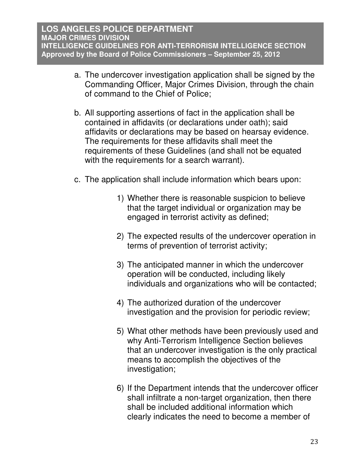- a. The undercover investigation application shall be signed by the Commanding Officer, Major Crimes Division, through the chain of command to the Chief of Police;
- b. All supporting assertions of fact in the application shall be contained in affidavits (or declarations under oath); said affidavits or declarations may be based on hearsay evidence. The requirements for these affidavits shall meet the requirements of these Guidelines (and shall not be equated with the requirements for a search warrant).
- c. The application shall include information which bears upon:
	- 1) Whether there is reasonable suspicion to believe that the target individual or organization may be engaged in terrorist activity as defined;
	- 2) The expected results of the undercover operation in terms of prevention of terrorist activity;
	- 3) The anticipated manner in which the undercover operation will be conducted, including likely individuals and organizations who will be contacted;
	- 4) The authorized duration of the undercover investigation and the provision for periodic review;
	- 5) What other methods have been previously used and why Anti-Terrorism Intelligence Section believes that an undercover investigation is the only practical means to accomplish the objectives of the investigation;
	- 6) If the Department intends that the undercover officer shall infiltrate a non-target organization, then there shall be included additional information which clearly indicates the need to become a member of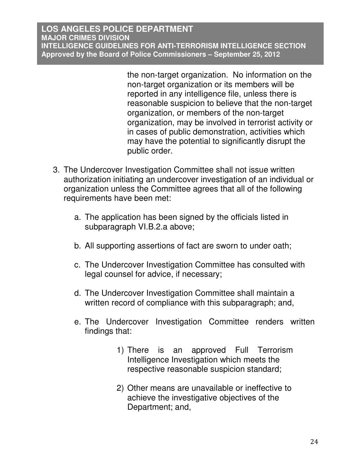the non-target organization. No information on the non-target organization or its members will be reported in any intelligence file, unless there is reasonable suspicion to believe that the non-target organization, or members of the non-target organization, may be involved in terrorist activity or in cases of public demonstration, activities which may have the potential to significantly disrupt the public order.

- 3. The Undercover Investigation Committee shall not issue written authorization initiating an undercover investigation of an individual or organization unless the Committee agrees that all of the following requirements have been met:
	- a. The application has been signed by the officials listed in subparagraph VI.B.2.a above;
	- b. All supporting assertions of fact are sworn to under oath;
	- c. The Undercover Investigation Committee has consulted with legal counsel for advice, if necessary;
	- d. The Undercover Investigation Committee shall maintain a written record of compliance with this subparagraph; and,
	- e. The Undercover Investigation Committee renders written findings that:
		- 1) There is an approved Full Terrorism Intelligence Investigation which meets the respective reasonable suspicion standard;
		- 2) Other means are unavailable or ineffective to achieve the investigative objectives of the Department; and,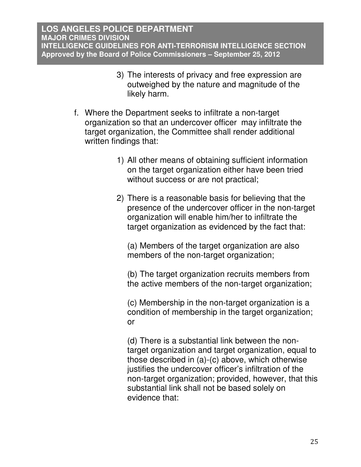- 3) The interests of privacy and free expression are outweighed by the nature and magnitude of the likely harm.
- f. Where the Department seeks to infiltrate a non-target organization so that an undercover officer may infiltrate the target organization, the Committee shall render additional written findings that:
	- 1) All other means of obtaining sufficient information on the target organization either have been tried without success or are not practical;
	- 2) There is a reasonable basis for believing that the presence of the undercover officer in the non-target organization will enable him/her to infiltrate the target organization as evidenced by the fact that:

(a) Members of the target organization are also members of the non-target organization;

(b) The target organization recruits members from the active members of the non-target organization;

(c) Membership in the non-target organization is a condition of membership in the target organization; or

(d) There is a substantial link between the nontarget organization and target organization, equal to those described in (a)-(c) above, which otherwise justifies the undercover officer's infiltration of the non-target organization; provided, however, that this substantial link shall not be based solely on evidence that: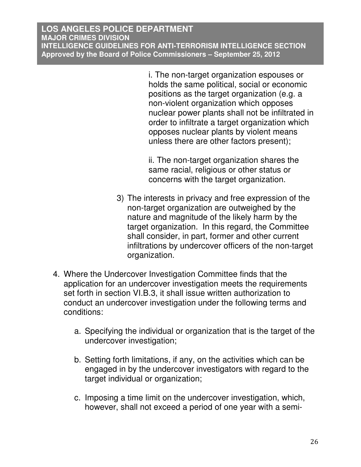i. The non-target organization espouses or holds the same political, social or economic positions as the target organization (e.g. a non-violent organization which opposes nuclear power plants shall not be infiltrated in order to infiltrate a target organization which opposes nuclear plants by violent means unless there are other factors present);

ii. The non-target organization shares the same racial, religious or other status or concerns with the target organization.

- 3) The interests in privacy and free expression of the non-target organization are outweighed by the nature and magnitude of the likely harm by the target organization. In this regard, the Committee shall consider, in part, former and other current infiltrations by undercover officers of the non-target organization.
- 4. Where the Undercover Investigation Committee finds that the application for an undercover investigation meets the requirements set forth in section VI.B.3, it shall issue written authorization to conduct an undercover investigation under the following terms and conditions:
	- a. Specifying the individual or organization that is the target of the undercover investigation;
	- b. Setting forth limitations, if any, on the activities which can be engaged in by the undercover investigators with regard to the target individual or organization;
	- c. Imposing a time limit on the undercover investigation, which, however, shall not exceed a period of one year with a semi-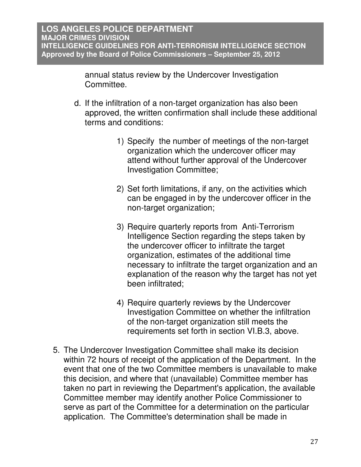annual status review by the Undercover Investigation Committee.

- d. If the infiltration of a non-target organization has also been approved, the written confirmation shall include these additional terms and conditions:
	- 1) Specify the number of meetings of the non-target organization which the undercover officer may attend without further approval of the Undercover Investigation Committee;
	- 2) Set forth limitations, if any, on the activities which can be engaged in by the undercover officer in the non-target organization;
	- 3) Require quarterly reports from Anti-Terrorism Intelligence Section regarding the steps taken by the undercover officer to infiltrate the target organization, estimates of the additional time necessary to infiltrate the target organization and an explanation of the reason why the target has not yet been infiltrated;
	- 4) Require quarterly reviews by the Undercover Investigation Committee on whether the infiltration of the non-target organization still meets the requirements set forth in section VI.B.3, above.
- 5. The Undercover Investigation Committee shall make its decision within 72 hours of receipt of the application of the Department. In the event that one of the two Committee members is unavailable to make this decision, and where that (unavailable) Committee member has taken no part in reviewing the Department's application, the available Committee member may identify another Police Commissioner to serve as part of the Committee for a determination on the particular application. The Committee's determination shall be made in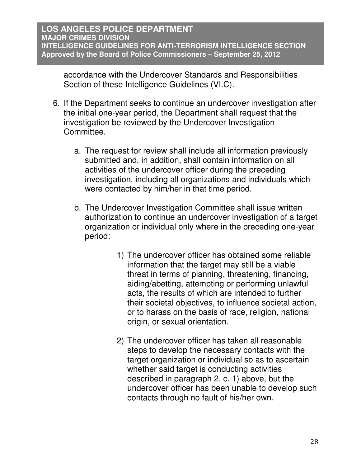accordance with the Undercover Standards and Responsibilities Section of these Intelligence Guidelines (VI.C).

- 6. If the Department seeks to continue an undercover investigation after the initial one-year period, the Department shall request that the investigation be reviewed by the Undercover Investigation Committee.
	- a. The request for review shall include all information previously submitted and, in addition, shall contain information on all activities of the undercover officer during the preceding investigation, including all organizations and individuals which were contacted by him/her in that time period.
	- b. The Undercover Investigation Committee shall issue written authorization to continue an undercover investigation of a target organization or individual only where in the preceding one-year period:
		- 1) The undercover officer has obtained some reliable information that the target may still be a viable threat in terms of planning, threatening, financing, aiding/abetting, attempting or performing unlawful acts, the results of which are intended to further their societal objectives, to influence societal action, or to harass on the basis of race, religion, national origin, or sexual orientation.
		- 2) The undercover officer has taken all reasonable steps to develop the necessary contacts with the target organization or individual so as to ascertain whether said target is conducting activities described in paragraph 2. c. 1) above, but the undercover officer has been unable to develop such contacts through no fault of his/her own.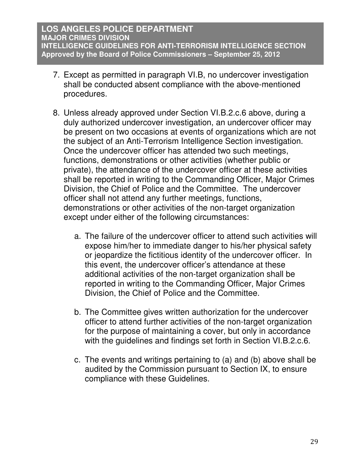- 7. Except as permitted in paragraph VI.B, no undercover investigation shall be conducted absent compliance with the above-mentioned procedures.
- 8. Unless already approved under Section VI.B.2.c.6 above, during a duly authorized undercover investigation, an undercover officer may be present on two occasions at events of organizations which are not the subject of an Anti-Terrorism Intelligence Section investigation. Once the undercover officer has attended two such meetings, functions, demonstrations or other activities (whether public or private), the attendance of the undercover officer at these activities shall be reported in writing to the Commanding Officer, Major Crimes Division, the Chief of Police and the Committee. The undercover officer shall not attend any further meetings, functions, demonstrations or other activities of the non-target organization except under either of the following circumstances:
	- a. The failure of the undercover officer to attend such activities will expose him/her to immediate danger to his/her physical safety or jeopardize the fictitious identity of the undercover officer. In this event, the undercover officer's attendance at these additional activities of the non-target organization shall be reported in writing to the Commanding Officer, Major Crimes Division, the Chief of Police and the Committee.
	- b. The Committee gives written authorization for the undercover officer to attend further activities of the non-target organization for the purpose of maintaining a cover, but only in accordance with the guidelines and findings set forth in Section VI.B.2.c.6.
	- c. The events and writings pertaining to (a) and (b) above shall be audited by the Commission pursuant to Section IX, to ensure compliance with these Guidelines.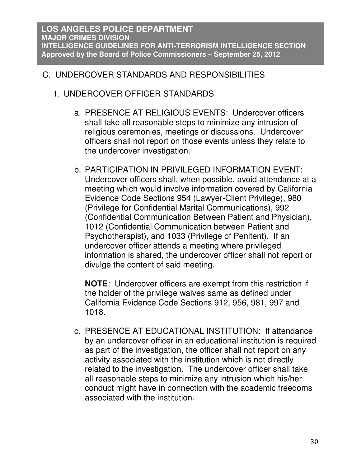# C. UNDERCOVER STANDARDS AND RESPONSIBILITIES

- 1. UNDERCOVER OFFICER STANDARDS
	- a. PRESENCE AT RELIGIOUS EVENTS: Undercover officers shall take all reasonable steps to minimize any intrusion of religious ceremonies, meetings or discussions. Undercover officers shall not report on those events unless they relate to the undercover investigation.
	- b. PARTICIPATION IN PRIVILEGED INFORMATION EVENT: Undercover officers shall, when possible, avoid attendance at a meeting which would involve information covered by California Evidence Code Sections 954 (Lawyer-Client Privilege), 980 (Privilege for Confidential Marital Communications), 992 (Confidential Communication Between Patient and Physician), 1012 (Confidential Communication between Patient and Psychotherapist), and 1033 (Privilege of Penitent). If an undercover officer attends a meeting where privileged information is shared, the undercover officer shall not report or divulge the content of said meeting.

**NOTE**: Undercover officers are exempt from this restriction if the holder of the privilege waives same as defined under California Evidence Code Sections 912, 956, 981, 997 and 1018.

c. PRESENCE AT EDUCATIONAL INSTITUTION: If attendance by an undercover officer in an educational institution is required as part of the investigation, the officer shall not report on any activity associated with the institution which is not directly related to the investigation. The undercover officer shall take all reasonable steps to minimize any intrusion which his/her conduct might have in connection with the academic freedoms associated with the institution.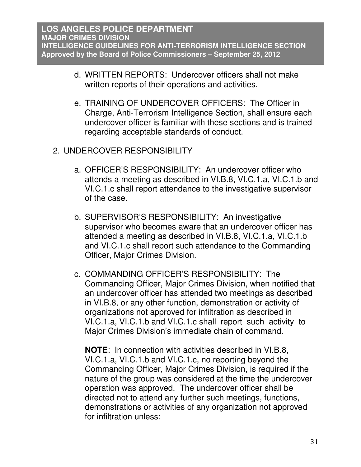- d. WRITTEN REPORTS: Undercover officers shall not make written reports of their operations and activities.
- e. TRAINING OF UNDERCOVER OFFICERS: The Officer in Charge, Anti-Terrorism Intelligence Section, shall ensure each undercover officer is familiar with these sections and is trained regarding acceptable standards of conduct.
- 2. UNDERCOVER RESPONSIBILITY
	- a. OFFICER'S RESPONSIBILITY: An undercover officer who attends a meeting as described in VI.B.8, VI.C.1.a, VI.C.1.b and VI.C.1.c shall report attendance to the investigative supervisor of the case.
	- b. SUPERVISOR'S RESPONSIBILITY: An investigative supervisor who becomes aware that an undercover officer has attended a meeting as described in VI.B.8, VI.C.1.a, VI.C.1.b and VI.C.1.c shall report such attendance to the Commanding Officer, Major Crimes Division.
	- c. COMMANDING OFFICER'S RESPONSIBILITY: The Commanding Officer, Major Crimes Division, when notified that an undercover officer has attended two meetings as described in VI.B.8, or any other function, demonstration or activity of organizations not approved for infiltration as described in VI.C.1.a, VI.C.1.b and VI.C.1.c shall report such activity to Major Crimes Division's immediate chain of command.

**NOTE**: In connection with activities described in VI.B.8, VI.C.1.a, VI.C.1.b and VI.C.1.c, no reporting beyond the Commanding Officer, Major Crimes Division, is required if the nature of the group was considered at the time the undercover operation was approved. The undercover officer shall be directed not to attend any further such meetings, functions, demonstrations or activities of any organization not approved for infiltration unless: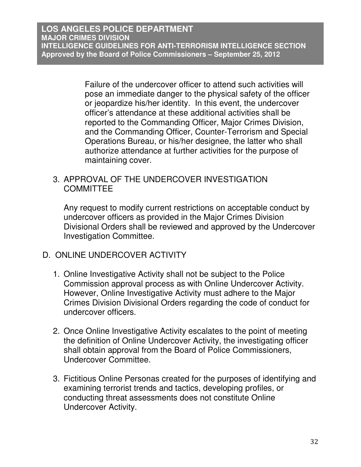Failure of the undercover officer to attend such activities will pose an immediate danger to the physical safety of the officer or jeopardize his/her identity. In this event, the undercover officer's attendance at these additional activities shall be reported to the Commanding Officer, Major Crimes Division, and the Commanding Officer, Counter-Terrorism and Special Operations Bureau, or his/her designee, the latter who shall authorize attendance at further activities for the purpose of maintaining cover.

## 3. APPROVAL OF THE UNDERCOVER INVESTIGATION **COMMITTEE**

Any request to modify current restrictions on acceptable conduct by undercover officers as provided in the Major Crimes Division Divisional Orders shall be reviewed and approved by the Undercover Investigation Committee.

# D. ONLINE UNDERCOVER ACTIVITY

- 1. Online Investigative Activity shall not be subject to the Police Commission approval process as with Online Undercover Activity. However, Online Investigative Activity must adhere to the Major Crimes Division Divisional Orders regarding the code of conduct for undercover officers.
- 2. Once Online Investigative Activity escalates to the point of meeting the definition of Online Undercover Activity, the investigating officer shall obtain approval from the Board of Police Commissioners, Undercover Committee.
- 3. Fictitious Online Personas created for the purposes of identifying and examining terrorist trends and tactics, developing profiles, or conducting threat assessments does not constitute Online Undercover Activity.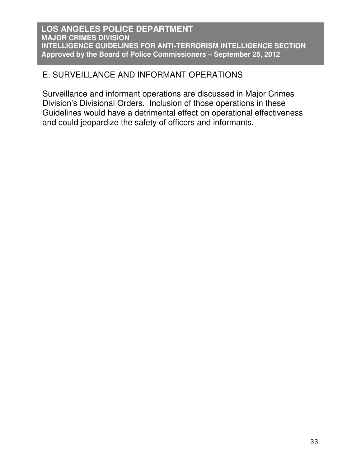# E. SURVEILLANCE AND INFORMANT OPERATIONS

Surveillance and informant operations are discussed in Major Crimes Division's Divisional Orders. Inclusion of those operations in these Guidelines would have a detrimental effect on operational effectiveness and could jeopardize the safety of officers and informants.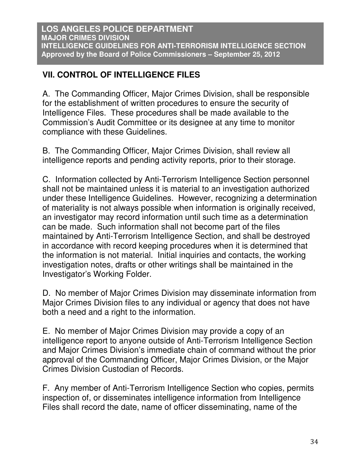# **VII. CONTROL OF INTELLIGENCE FILES**

A. The Commanding Officer, Major Crimes Division, shall be responsible for the establishment of written procedures to ensure the security of Intelligence Files. These procedures shall be made available to the Commission's Audit Committee or its designee at any time to monitor compliance with these Guidelines.

B. The Commanding Officer, Major Crimes Division, shall review all intelligence reports and pending activity reports, prior to their storage.

C. Information collected by Anti-Terrorism Intelligence Section personnel shall not be maintained unless it is material to an investigation authorized under these Intelligence Guidelines. However, recognizing a determination of materiality is not always possible when information is originally received, an investigator may record information until such time as a determination can be made. Such information shall not become part of the files maintained by Anti-Terrorism Intelligence Section, and shall be destroyed in accordance with record keeping procedures when it is determined that the information is not material. Initial inquiries and contacts, the working investigation notes, drafts or other writings shall be maintained in the Investigator's Working Folder.

D. No member of Major Crimes Division may disseminate information from Major Crimes Division files to any individual or agency that does not have both a need and a right to the information.

E. No member of Major Crimes Division may provide a copy of an intelligence report to anyone outside of Anti-Terrorism Intelligence Section and Major Crimes Division's immediate chain of command without the prior approval of the Commanding Officer, Major Crimes Division, or the Major Crimes Division Custodian of Records.

F. Any member of Anti-Terrorism Intelligence Section who copies, permits inspection of, or disseminates intelligence information from Intelligence Files shall record the date, name of officer disseminating, name of the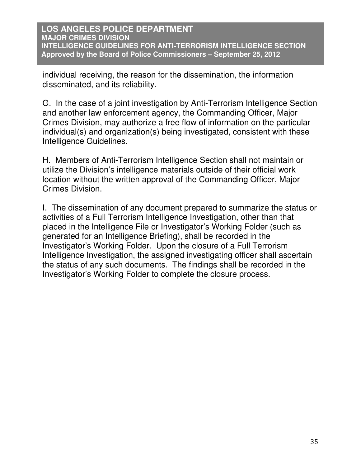individual receiving, the reason for the dissemination, the information disseminated, and its reliability.

G. In the case of a joint investigation by Anti-Terrorism Intelligence Section and another law enforcement agency, the Commanding Officer, Major Crimes Division, may authorize a free flow of information on the particular individual(s) and organization(s) being investigated, consistent with these Intelligence Guidelines.

H. Members of Anti-Terrorism Intelligence Section shall not maintain or utilize the Division's intelligence materials outside of their official work location without the written approval of the Commanding Officer, Major Crimes Division.

I. The dissemination of any document prepared to summarize the status or activities of a Full Terrorism Intelligence Investigation, other than that placed in the Intelligence File or Investigator's Working Folder (such as generated for an Intelligence Briefing), shall be recorded in the Investigator's Working Folder. Upon the closure of a Full Terrorism Intelligence Investigation, the assigned investigating officer shall ascertain the status of any such documents. The findings shall be recorded in the Investigator's Working Folder to complete the closure process.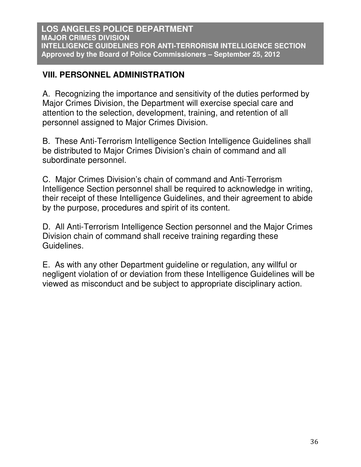# **VIII. PERSONNEL ADMINISTRATION**

A. Recognizing the importance and sensitivity of the duties performed by Major Crimes Division, the Department will exercise special care and attention to the selection, development, training, and retention of all personnel assigned to Major Crimes Division.

B. These Anti-Terrorism Intelligence Section Intelligence Guidelines shall be distributed to Major Crimes Division's chain of command and all subordinate personnel.

C. Major Crimes Division's chain of command and Anti-Terrorism Intelligence Section personnel shall be required to acknowledge in writing, their receipt of these Intelligence Guidelines, and their agreement to abide by the purpose, procedures and spirit of its content.

D. All Anti-Terrorism Intelligence Section personnel and the Major Crimes Division chain of command shall receive training regarding these Guidelines.

E. As with any other Department guideline or regulation, any willful or negligent violation of or deviation from these Intelligence Guidelines will be viewed as misconduct and be subject to appropriate disciplinary action.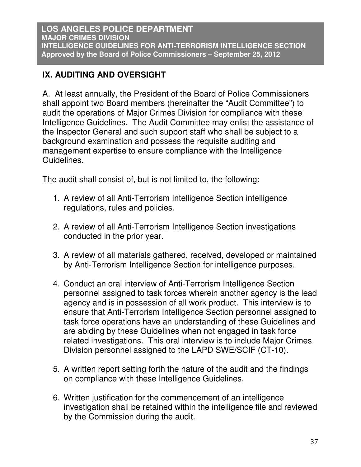# **IX. AUDITING AND OVERSIGHT**

A. At least annually, the President of the Board of Police Commissioners shall appoint two Board members (hereinafter the "Audit Committee") to audit the operations of Major Crimes Division for compliance with these Intelligence Guidelines. The Audit Committee may enlist the assistance of the Inspector General and such support staff who shall be subject to a background examination and possess the requisite auditing and management expertise to ensure compliance with the Intelligence Guidelines.

The audit shall consist of, but is not limited to, the following:

- 1. A review of all Anti-Terrorism Intelligence Section intelligence regulations, rules and policies.
- 2. A review of all Anti-Terrorism Intelligence Section investigations conducted in the prior year.
- 3. A review of all materials gathered, received, developed or maintained by Anti-Terrorism Intelligence Section for intelligence purposes.
- 4. Conduct an oral interview of Anti-Terrorism Intelligence Section personnel assigned to task forces wherein another agency is the lead agency and is in possession of all work product. This interview is to ensure that Anti-Terrorism Intelligence Section personnel assigned to task force operations have an understanding of these Guidelines and are abiding by these Guidelines when not engaged in task force related investigations. This oral interview is to include Major Crimes Division personnel assigned to the LAPD SWE/SCIF (CT-10).
- 5. A written report setting forth the nature of the audit and the findings on compliance with these Intelligence Guidelines.
- 6. Written justification for the commencement of an intelligence investigation shall be retained within the intelligence file and reviewed by the Commission during the audit.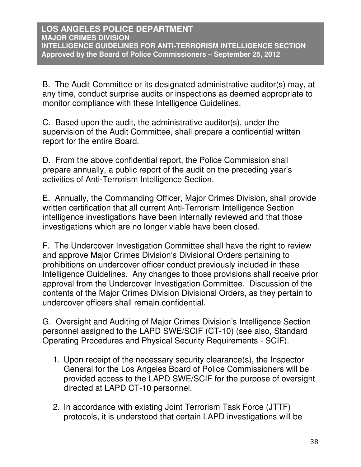B. The Audit Committee or its designated administrative auditor(s) may, at any time, conduct surprise audits or inspections as deemed appropriate to monitor compliance with these Intelligence Guidelines.

C. Based upon the audit, the administrative auditor(s), under the supervision of the Audit Committee, shall prepare a confidential written report for the entire Board.

D. From the above confidential report, the Police Commission shall prepare annually, a public report of the audit on the preceding year's activities of Anti-Terrorism Intelligence Section.

E. Annually, the Commanding Officer, Major Crimes Division, shall provide written certification that all current Anti-Terrorism Intelligence Section intelligence investigations have been internally reviewed and that those investigations which are no longer viable have been closed.

F. The Undercover Investigation Committee shall have the right to review and approve Major Crimes Division's Divisional Orders pertaining to prohibitions on undercover officer conduct previously included in these Intelligence Guidelines. Any changes to those provisions shall receive prior approval from the Undercover Investigation Committee. Discussion of the contents of the Major Crimes Division Divisional Orders, as they pertain to undercover officers shall remain confidential.

G. Oversight and Auditing of Major Crimes Division's Intelligence Section personnel assigned to the LAPD SWE/SCIF (CT-10) (see also, Standard Operating Procedures and Physical Security Requirements - SCIF).

- 1. Upon receipt of the necessary security clearance(s), the Inspector General for the Los Angeles Board of Police Commissioners will be provided access to the LAPD SWE/SCIF for the purpose of oversight directed at LAPD CT-10 personnel.
- 2. In accordance with existing Joint Terrorism Task Force (JTTF) protocols, it is understood that certain LAPD investigations will be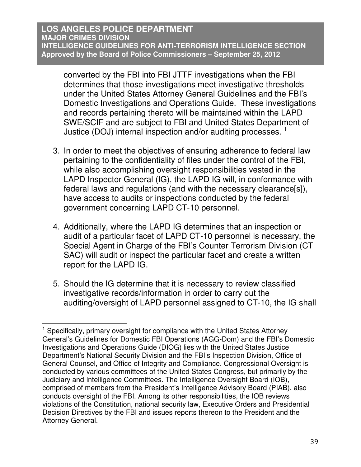converted by the FBI into FBI JTTF investigations when the FBI determines that those investigations meet investigative thresholds under the United States Attorney General Guidelines and the FBI's Domestic Investigations and Operations Guide. These investigations and records pertaining thereto will be maintained within the LAPD SWE/SCIF and are subject to FBI and United States Department of Justice (DOJ) internal inspection and/or auditing processes.<sup>1</sup>

- 3. In order to meet the objectives of ensuring adherence to federal law pertaining to the confidentiality of files under the control of the FBI, while also accomplishing oversight responsibilities vested in the LAPD Inspector General (IG), the LAPD IG will, in conformance with federal laws and regulations (and with the necessary clearance[s]), have access to audits or inspections conducted by the federal government concerning LAPD CT-10 personnel.
- 4. Additionally, where the LAPD IG determines that an inspection or audit of a particular facet of LAPD CT-10 personnel is necessary, the Special Agent in Charge of the FBI's Counter Terrorism Division (CT SAC) will audit or inspect the particular facet and create a written report for the LAPD IG.
- 5. Should the IG determine that it is necessary to review classified investigative records/information in order to carry out the auditing/oversight of LAPD personnel assigned to CT-10, the IG shall

 $\overline{a}$ 

<sup>1</sup> Specifically, primary oversight for compliance with the United States Attorney General's Guidelines for Domestic FBI Operations (AGG-Dom) and the FBI's Domestic Investigations and Operations Guide (DIOG) lies with the United States Justice Department's National Security Division and the FBI's Inspection Division, Office of General Counsel, and Office of Integrity and Compliance. Congressional Oversight is conducted by various committees of the United States Congress, but primarily by the Judiciary and Intelligence Committees. The Intelligence Oversight Board (IOB), comprised of members from the President's Intelligence Advisory Board (PIAB), also conducts oversight of the FBI. Among its other responsibilities, the IOB reviews violations of the Constitution, national security law, Executive Orders and Presidential Decision Directives by the FBI and issues reports thereon to the President and the Attorney General.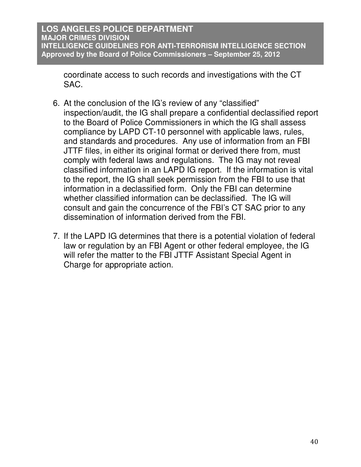coordinate access to such records and investigations with the CT SAC.

- 6. At the conclusion of the IG's review of any "classified" inspection/audit, the IG shall prepare a confidential declassified report to the Board of Police Commissioners in which the IG shall assess compliance by LAPD CT-10 personnel with applicable laws, rules, and standards and procedures. Any use of information from an FBI JTTF files, in either its original format or derived there from, must comply with federal laws and regulations. The IG may not reveal classified information in an LAPD IG report. If the information is vital to the report, the IG shall seek permission from the FBI to use that information in a declassified form. Only the FBI can determine whether classified information can be declassified. The IG will consult and gain the concurrence of the FBI's CT SAC prior to any dissemination of information derived from the FBI.
- 7. If the LAPD IG determines that there is a potential violation of federal law or regulation by an FBI Agent or other federal employee, the IG will refer the matter to the FBI JTTF Assistant Special Agent in Charge for appropriate action.